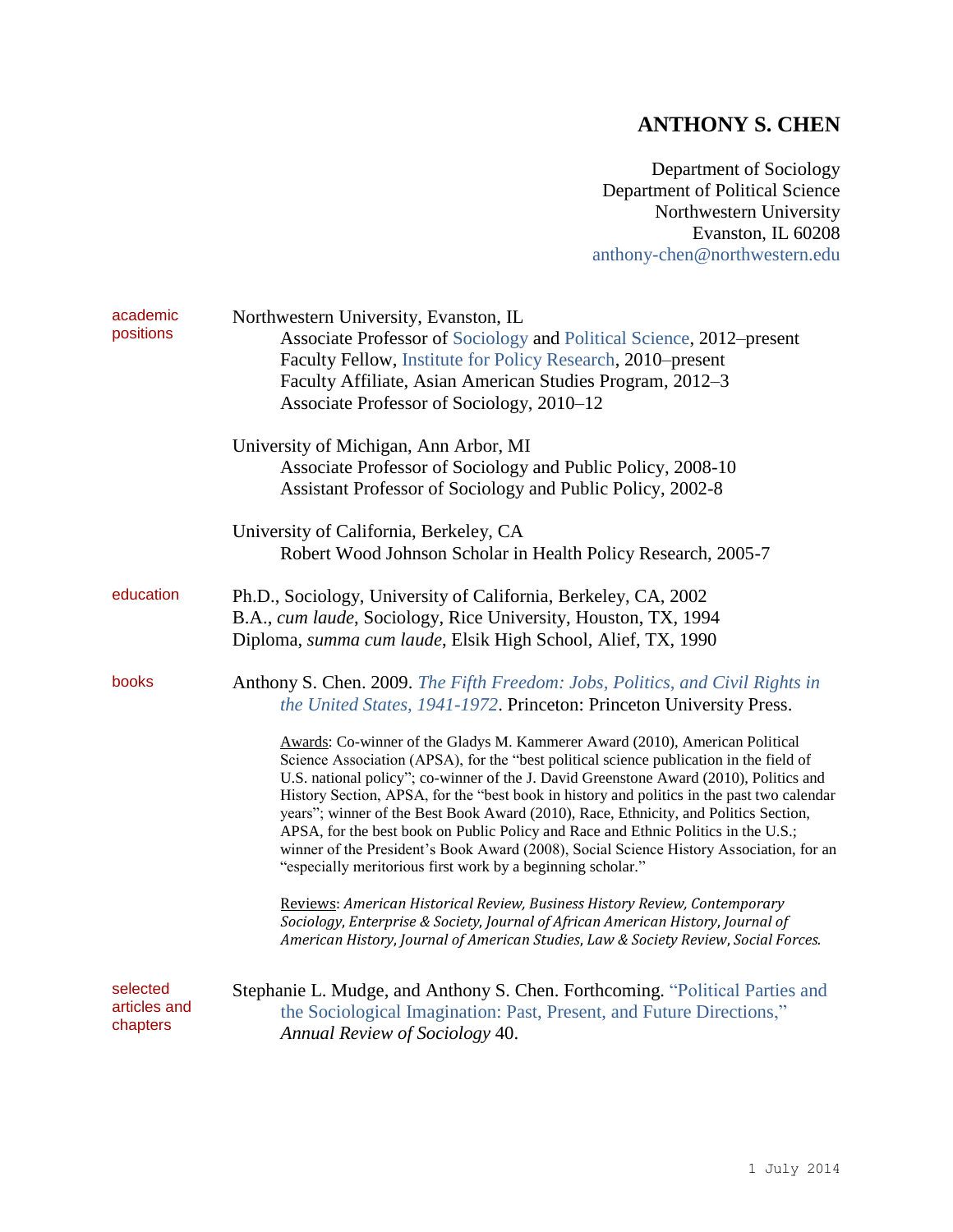## **ANTHONY S. CHEN**

Department of Sociology Department of Political Science Northwestern University Evanston, IL 60208 [anthony-chen@northwestern.edu](mailto:anthony-chen@northwestern.edu)

| academic<br>positions                | Northwestern University, Evanston, IL<br>Associate Professor of Sociology and Political Science, 2012–present<br>Faculty Fellow, Institute for Policy Research, 2010–present<br>Faculty Affiliate, Asian American Studies Program, 2012-3<br>Associate Professor of Sociology, 2010–12                                                                                                                                                                                                                                                                                                                                                                                                                  |  |  |
|--------------------------------------|---------------------------------------------------------------------------------------------------------------------------------------------------------------------------------------------------------------------------------------------------------------------------------------------------------------------------------------------------------------------------------------------------------------------------------------------------------------------------------------------------------------------------------------------------------------------------------------------------------------------------------------------------------------------------------------------------------|--|--|
|                                      | University of Michigan, Ann Arbor, MI<br>Associate Professor of Sociology and Public Policy, 2008-10<br>Assistant Professor of Sociology and Public Policy, 2002-8                                                                                                                                                                                                                                                                                                                                                                                                                                                                                                                                      |  |  |
|                                      | University of California, Berkeley, CA<br>Robert Wood Johnson Scholar in Health Policy Research, 2005-7                                                                                                                                                                                                                                                                                                                                                                                                                                                                                                                                                                                                 |  |  |
| education                            | Ph.D., Sociology, University of California, Berkeley, CA, 2002<br>B.A., cum laude, Sociology, Rice University, Houston, TX, 1994<br>Diploma, summa cum laude, Elsik High School, Alief, TX, 1990                                                                                                                                                                                                                                                                                                                                                                                                                                                                                                        |  |  |
| books                                | Anthony S. Chen. 2009. The Fifth Freedom: Jobs, Politics, and Civil Rights in<br>the United States, 1941-1972. Princeton: Princeton University Press.                                                                                                                                                                                                                                                                                                                                                                                                                                                                                                                                                   |  |  |
|                                      | Awards: Co-winner of the Gladys M. Kammerer Award (2010), American Political<br>Science Association (APSA), for the "best political science publication in the field of<br>U.S. national policy"; co-winner of the J. David Greenstone Award (2010), Politics and<br>History Section, APSA, for the "best book in history and politics in the past two calendar<br>years"; winner of the Best Book Award (2010), Race, Ethnicity, and Politics Section,<br>APSA, for the best book on Public Policy and Race and Ethnic Politics in the U.S.;<br>winner of the President's Book Award (2008), Social Science History Association, for an<br>"especially meritorious first work by a beginning scholar." |  |  |
|                                      | Reviews: American Historical Review, Business History Review, Contemporary<br>Sociology, Enterprise & Society, Journal of African American History, Journal of<br>American History, Journal of American Studies, Law & Society Review, Social Forces.                                                                                                                                                                                                                                                                                                                                                                                                                                                   |  |  |
| selected<br>articles and<br>chapters | Stephanie L. Mudge, and Anthony S. Chen. Forthcoming. "Political Parties and<br>the Sociological Imagination: Past, Present, and Future Directions,"<br>Annual Review of Sociology 40.                                                                                                                                                                                                                                                                                                                                                                                                                                                                                                                  |  |  |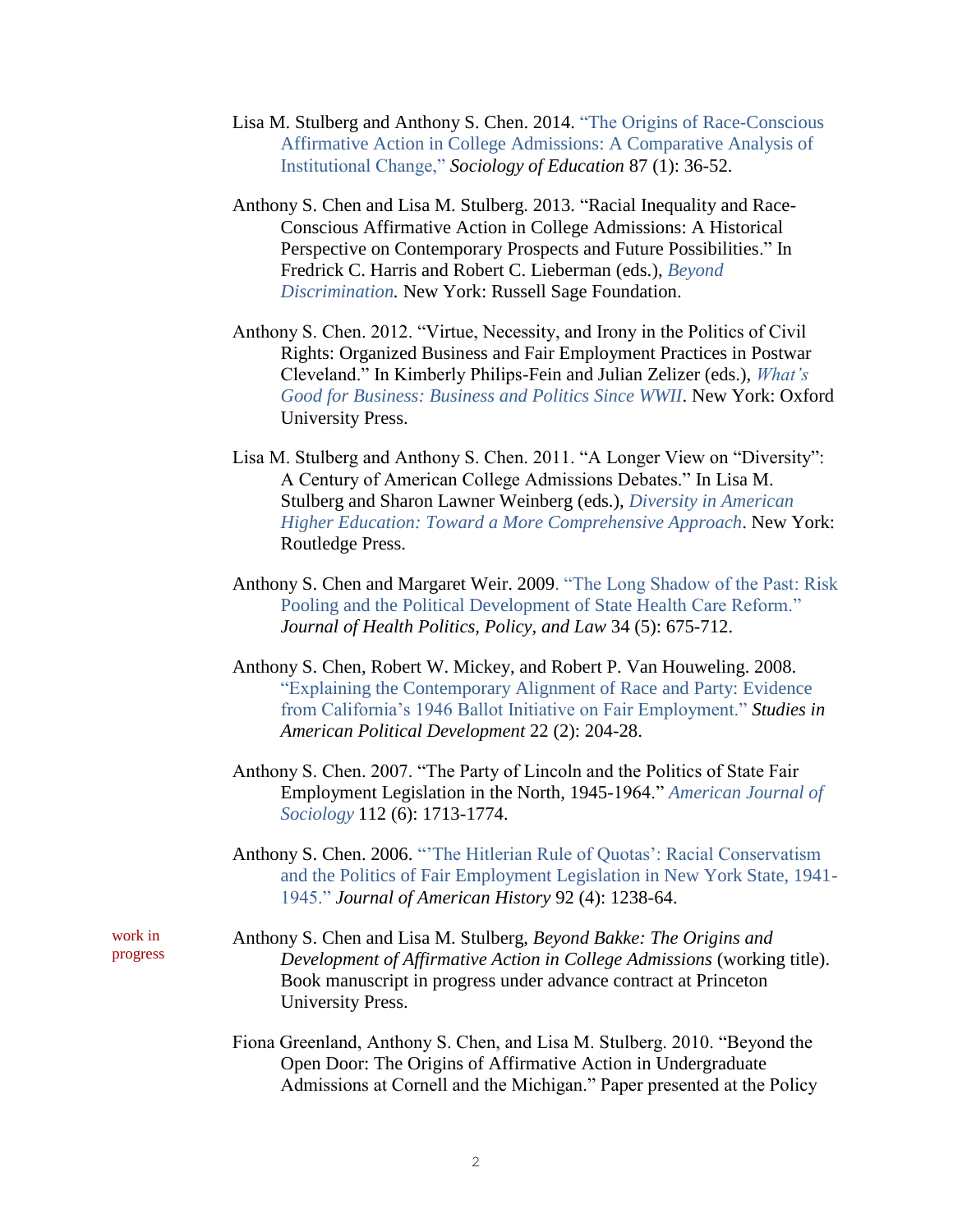- Lisa M. Stulberg and Anthony S. Chen. 2014. ["The Origins of Race-Conscious](http://soe.sagepub.com/content/early/2013/12/10/0038040713514063.abstract)  [Affirmative Action in College Admissions: A Comparative Analysis of](http://soe.sagepub.com/content/early/2013/12/10/0038040713514063.abstract)  [Institutional Change,"](http://soe.sagepub.com/content/early/2013/12/10/0038040713514063.abstract) *Sociology of Education* 87 (1): 36-52.
- Anthony S. Chen and Lisa M. Stulberg. 2013. "Racial Inequality and Race-Conscious Affirmative Action in College Admissions: A Historical Perspective on Contemporary Prospects and Future Possibilities." In Fredrick C. Harris and Robert C. Lieberman (eds.), *[Beyond](https://www.russellsage.org/publications/beyond-discrimination)  [Discrimination.](https://www.russellsage.org/publications/beyond-discrimination)* New York: Russell Sage Foundation.
- Anthony S. Chen. 2012. "Virtue, Necessity, and Irony in the Politics of Civil Rights: Organized Business and Fair Employment Practices in Postwar Cleveland." In Kimberly Philips-Fein and Julian Zelizer (eds.), *[What's](http://www.oup.com/us/catalog/general/subject/HistoryAmerican/Since1945/?view=usa&ci=9780199754007)  [Good for Business: Business and Politics Since WWII](http://www.oup.com/us/catalog/general/subject/HistoryAmerican/Since1945/?view=usa&ci=9780199754007)*. New York: Oxford University Press.
- Lisa M. Stulberg and Anthony S. Chen. 2011. "A Longer View on "Diversity": A Century of American College Admissions Debates." In Lisa M. Stulberg and Sharon Lawner Weinberg (eds.), *[Diversity in American](http://www.routledge.com/books/details/9780415874526/)  [Higher Education: Toward a More Comprehensive Approach](http://www.routledge.com/books/details/9780415874526/)*. New York: Routledge Press.
- Anthony S. Chen and Margaret Weir. 2009. ["The Long Shadow of the Past: Risk](http://jhppl.dukejournals.org/content/34/5/679.abstract)  [Pooling and the Political Development of State Health Care Reform."](http://jhppl.dukejournals.org/content/34/5/679.abstract) *Journal of Health Politics, Policy, and Law* 34 (5): 675-712.
- Anthony S. Chen, Robert W. Mickey, and Robert P. Van Houweling. 2008. ["Explaining the Contemporary Alignment of Race and Party: Evidence](http://journals.cambridge.org/action/displayAbstract?fromPage=online&aid=2184408)  [from California's 1946 Ballot Initiative on Fair Employment."](http://journals.cambridge.org/action/displayAbstract?fromPage=online&aid=2184408) *Studies in American Political Development* 22 (2): 204-28.
- Anthony S. Chen. 2007. "The Party of Lincoln and the Politics of State Fair Employment Legislation in the North, 1945-1964." *[American Journal of](http://www.press.uchicago.edu/ucp/journals/journal/ajs.html)  [Sociology](http://www.press.uchicago.edu/ucp/journals/journal/ajs.html)* 112 (6): 1713-1774.
- Anthony S. Chen. 2006. ["'The Hitlerian Rule of Quotas': Racial Conservatism](http://jah.oxfordjournals.org/content/92/4/1238.extract)  [and the Politics of Fair Employment Legislation in New York State, 1941-](http://jah.oxfordjournals.org/content/92/4/1238.extract) [1945."](http://jah.oxfordjournals.org/content/92/4/1238.extract) *Journal of American History* 92 (4): 1238-64.

Anthony S. Chen and Lisa M. Stulberg, *Beyond Bakke: The Origins and Development of Affirmative Action in College Admissions* (working title). Book manuscript in progress under advance contract at Princeton University Press.

Fiona Greenland, Anthony S. Chen, and Lisa M. Stulberg. 2010. "Beyond the Open Door: The Origins of Affirmative Action in Undergraduate Admissions at Cornell and the Michigan." Paper presented at the Policy

work in progress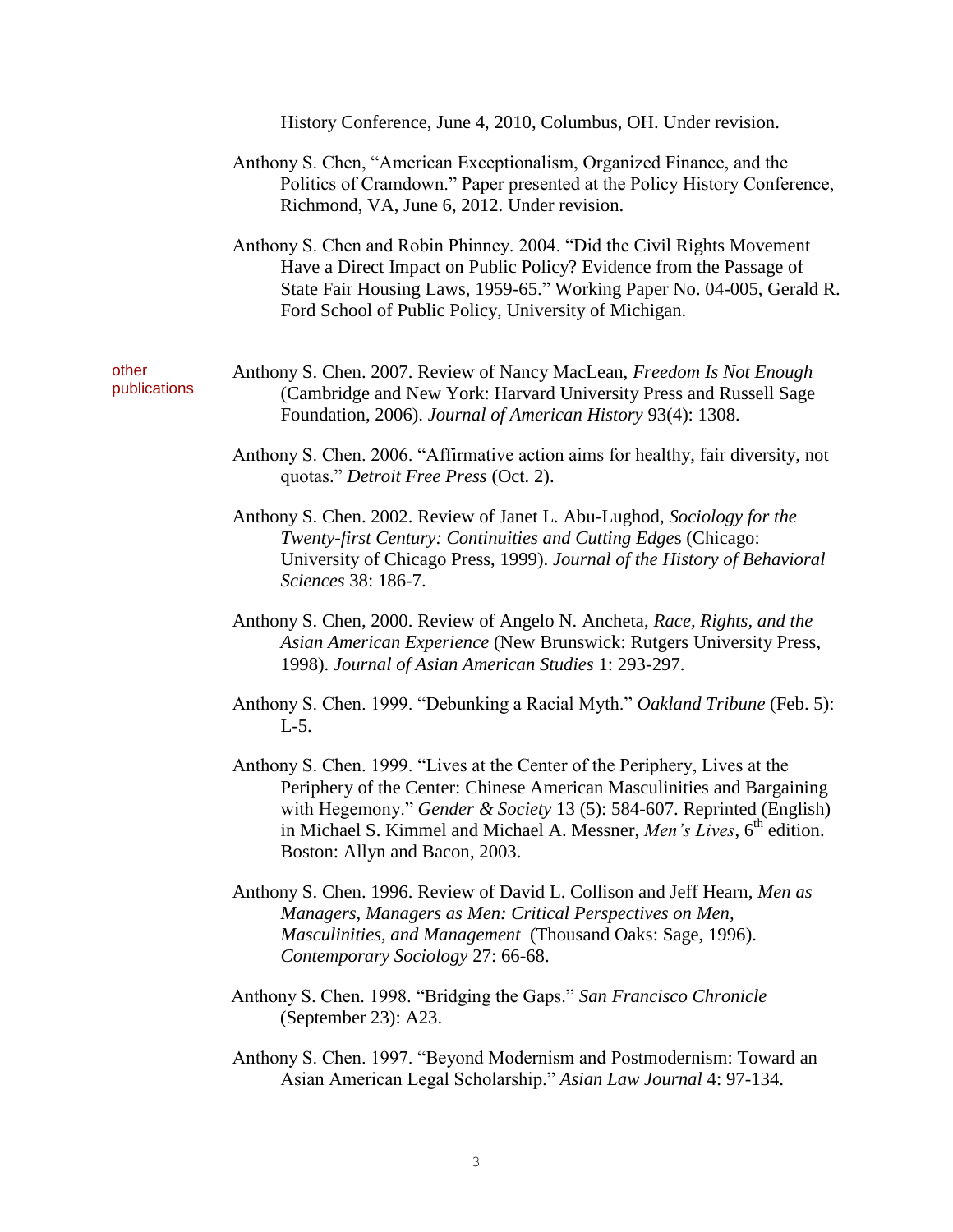|                       | History Conference, June 4, 2010, Columbus, OH. Under revision.                                                                                                                                                                                                                   |  |
|-----------------------|-----------------------------------------------------------------------------------------------------------------------------------------------------------------------------------------------------------------------------------------------------------------------------------|--|
|                       | Anthony S. Chen, "American Exceptionalism, Organized Finance, and the<br>Politics of Cramdown." Paper presented at the Policy History Conference,<br>Richmond, VA, June 6, 2012. Under revision.                                                                                  |  |
|                       | Anthony S. Chen and Robin Phinney. 2004. "Did the Civil Rights Movement<br>Have a Direct Impact on Public Policy? Evidence from the Passage of<br>State Fair Housing Laws, 1959-65." Working Paper No. 04-005, Gerald R.<br>Ford School of Public Policy, University of Michigan. |  |
| other<br>publications | Anthony S. Chen. 2007. Review of Nancy MacLean, Freedom Is Not Enough<br>(Cambridge and New York: Harvard University Press and Russell Sage<br>Foundation, 2006). Journal of American History 93(4): 1308.                                                                        |  |
|                       | Anthony S. Chen. 2006. "Affirmative action aims for healthy, fair diversity, not<br>quotas." Detroit Free Press (Oct. 2).                                                                                                                                                         |  |
|                       | Anthony S. Chen. 2002. Review of Janet L. Abu-Lughod, Sociology for the<br>Twenty-first Century: Continuities and Cutting Edges (Chicago:<br>University of Chicago Press, 1999). Journal of the History of Behavioral<br>Sciences 38: 186-7.                                      |  |
|                       | Anthony S. Chen, 2000. Review of Angelo N. Ancheta, Race, Rights, and the<br>Asian American Experience (New Brunswick: Rutgers University Press,<br>1998). Journal of Asian American Studies 1: 293-297.                                                                          |  |
|                       | Anthony S. Chen. 1999. "Debunking a Racial Myth." Oakland Tribune (Feb. 5):<br>$L-5$ .                                                                                                                                                                                            |  |

- Anthony S. Chen. 1999. "Lives at the Center of the Periphery, Lives at the Periphery of the Center: Chinese American Masculinities and Bargaining with Hegemony." *Gender & Society* 13 (5): 584-607. Reprinted (English) in Michael S. Kimmel and Michael A. Messner, *Men's Lives*, 6<sup>th</sup> edition. Boston: Allyn and Bacon, 2003.
- Anthony S. Chen. 1996. Review of David L. Collison and Jeff Hearn, *Men as Managers, Managers as Men: Critical Perspectives on Men, Masculinities, and Management* (Thousand Oaks: Sage, 1996). *Contemporary Sociology* 27: 66-68.
- Anthony S. Chen. 1998. "Bridging the Gaps." *San Francisco Chronicle*  (September 23): A23.
- Anthony S. Chen. 1997. "Beyond Modernism and Postmodernism: Toward an Asian American Legal Scholarship." *Asian Law Journal* 4: 97-134.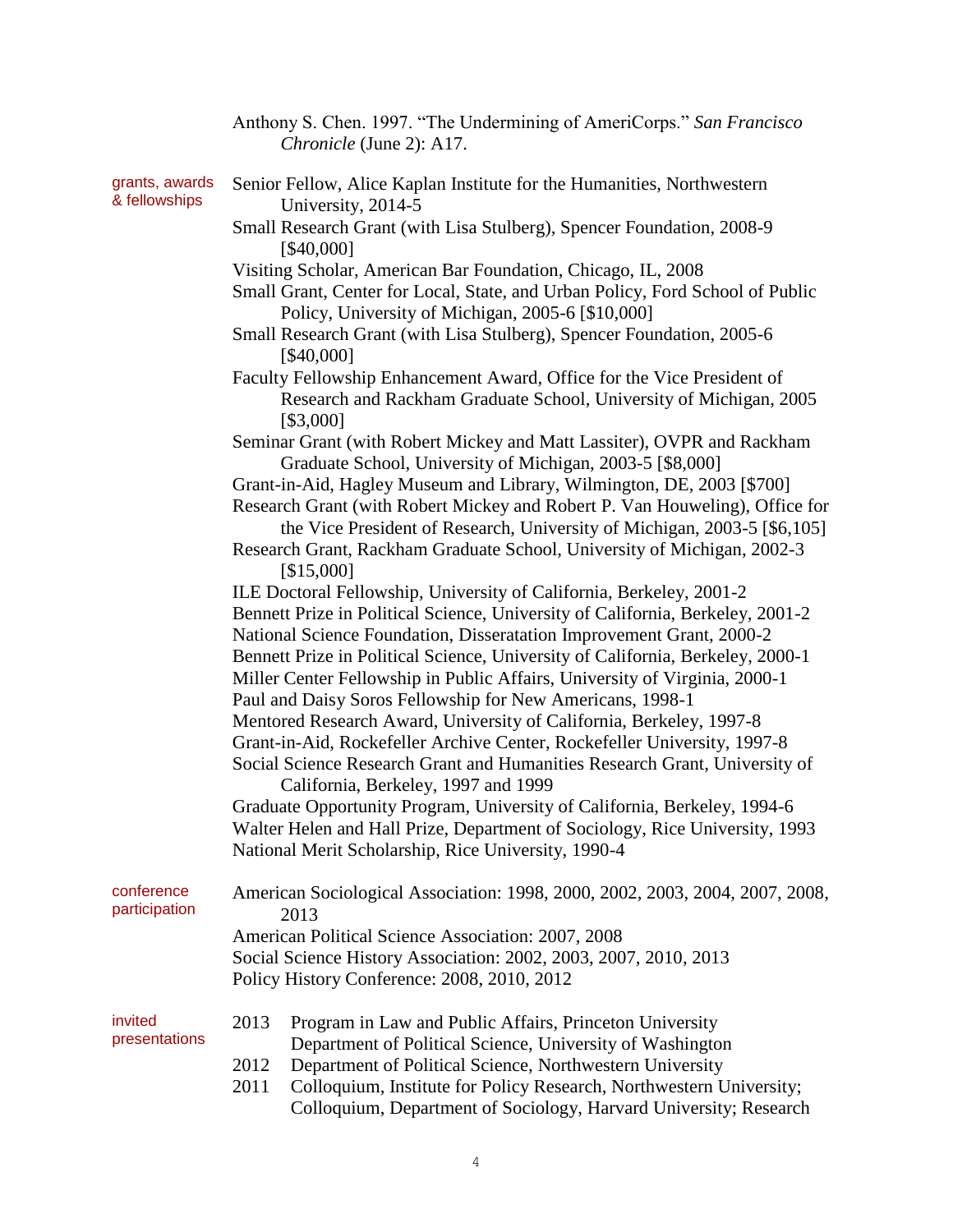|                                 | Anthony S. Chen. 1997. "The Undermining of AmeriCorps." San Francisco<br>Chronicle (June 2): A17.                                                                                                                                                                                                                                                                                             |  |  |  |
|---------------------------------|-----------------------------------------------------------------------------------------------------------------------------------------------------------------------------------------------------------------------------------------------------------------------------------------------------------------------------------------------------------------------------------------------|--|--|--|
| grants, awards<br>& fellowships | Senior Fellow, Alice Kaplan Institute for the Humanities, Northwestern<br>University, 2014-5                                                                                                                                                                                                                                                                                                  |  |  |  |
|                                 | Small Research Grant (with Lisa Stulberg), Spencer Foundation, 2008-9<br>[\$40,000]                                                                                                                                                                                                                                                                                                           |  |  |  |
|                                 | Visiting Scholar, American Bar Foundation, Chicago, IL, 2008<br>Small Grant, Center for Local, State, and Urban Policy, Ford School of Public<br>Policy, University of Michigan, 2005-6 [\$10,000]                                                                                                                                                                                            |  |  |  |
|                                 | Small Research Grant (with Lisa Stulberg), Spencer Foundation, 2005-6<br>[\$40,000]                                                                                                                                                                                                                                                                                                           |  |  |  |
|                                 | Faculty Fellowship Enhancement Award, Office for the Vice President of<br>Research and Rackham Graduate School, University of Michigan, 2005<br>[\$3,000]                                                                                                                                                                                                                                     |  |  |  |
|                                 | Seminar Grant (with Robert Mickey and Matt Lassiter), OVPR and Rackham<br>Graduate School, University of Michigan, 2003-5 [\$8,000]                                                                                                                                                                                                                                                           |  |  |  |
|                                 | Grant-in-Aid, Hagley Museum and Library, Wilmington, DE, 2003 [\$700]                                                                                                                                                                                                                                                                                                                         |  |  |  |
|                                 | Research Grant (with Robert Mickey and Robert P. Van Houweling), Office for<br>the Vice President of Research, University of Michigan, 2003-5 [\$6,105]                                                                                                                                                                                                                                       |  |  |  |
|                                 | Research Grant, Rackham Graduate School, University of Michigan, 2002-3<br>[\$15,000]                                                                                                                                                                                                                                                                                                         |  |  |  |
|                                 | ILE Doctoral Fellowship, University of California, Berkeley, 2001-2<br>Bennett Prize in Political Science, University of California, Berkeley, 2001-2<br>National Science Foundation, Disseratation Improvement Grant, 2000-2<br>Bennett Prize in Political Science, University of California, Berkeley, 2000-1<br>Miller Center Fellowship in Public Affairs, University of Virginia, 2000-1 |  |  |  |
|                                 | Paul and Daisy Soros Fellowship for New Americans, 1998-1<br>Mentored Research Award, University of California, Berkeley, 1997-8<br>Grant-in-Aid, Rockefeller Archive Center, Rockefeller University, 1997-8<br>Social Science Research Grant and Humanities Research Grant, University of<br>California, Berkeley, 1997 and 1999                                                             |  |  |  |
|                                 | Graduate Opportunity Program, University of California, Berkeley, 1994-6<br>Walter Helen and Hall Prize, Department of Sociology, Rice University, 1993<br>National Merit Scholarship, Rice University, 1990-4                                                                                                                                                                                |  |  |  |
| conference<br>participation     | American Sociological Association: 1998, 2000, 2002, 2003, 2004, 2007, 2008,<br>2013                                                                                                                                                                                                                                                                                                          |  |  |  |
|                                 | American Political Science Association: 2007, 2008<br>Social Science History Association: 2002, 2003, 2007, 2010, 2013<br>Policy History Conference: 2008, 2010, 2012                                                                                                                                                                                                                         |  |  |  |
| invited<br>presentations        | 2013<br>Program in Law and Public Affairs, Princeton University<br>Department of Political Science, University of Washington                                                                                                                                                                                                                                                                  |  |  |  |
|                                 | 2012<br>Department of Political Science, Northwestern University<br>Colloquium, Institute for Policy Research, Northwestern University;<br>2011<br>Colloquium, Department of Sociology, Harvard University; Research                                                                                                                                                                          |  |  |  |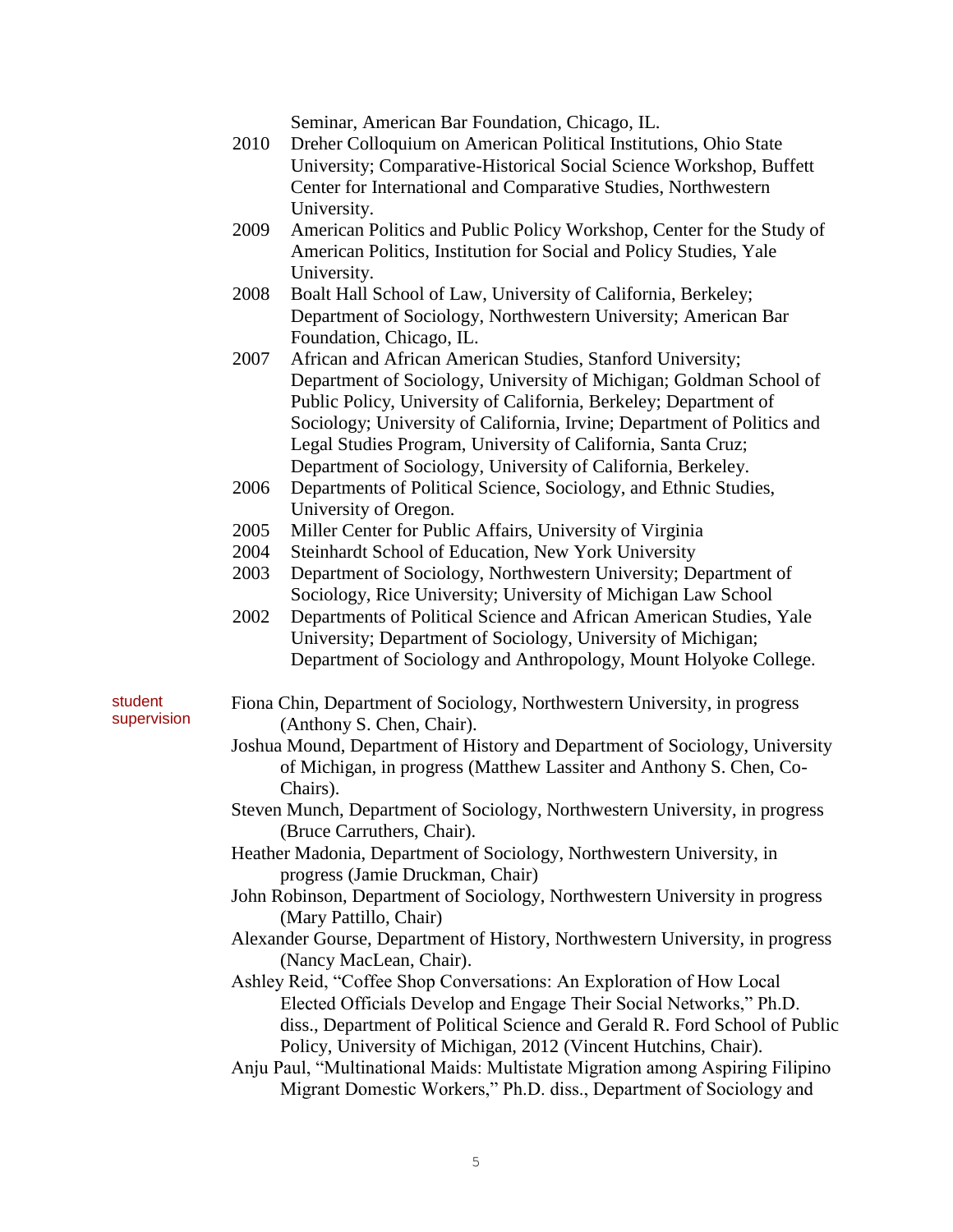Seminar, American Bar Foundation, Chicago, IL.

- 2010 Dreher Colloquium on American Political Institutions, Ohio State University; Comparative-Historical Social Science Workshop, Buffett Center for International and Comparative Studies, Northwestern University.
- 2009 American Politics and Public Policy Workshop, Center for the Study of American Politics, Institution for Social and Policy Studies, Yale University.
- 2008 Boalt Hall School of Law, University of California, Berkeley; Department of Sociology, Northwestern University; American Bar Foundation, Chicago, IL.
- 2007 African and African American Studies, Stanford University; Department of Sociology, University of Michigan; Goldman School of Public Policy, University of California, Berkeley; Department of Sociology; University of California, Irvine; Department of Politics and Legal Studies Program, University of California, Santa Cruz; Department of Sociology, University of California, Berkeley.
- 2006 Departments of Political Science, Sociology, and Ethnic Studies, University of Oregon.
- 2005 Miller Center for Public Affairs, University of Virginia
- 2004 Steinhardt School of Education, New York University
- 2003 Department of Sociology, Northwestern University; Department of Sociology, Rice University; University of Michigan Law School
- 2002 Departments of Political Science and African American Studies, Yale University; Department of Sociology, University of Michigan; Department of Sociology and Anthropology, Mount Holyoke College.
- student supervision

Fiona Chin, Department of Sociology, Northwestern University, in progress (Anthony S. Chen, Chair).

- Joshua Mound, Department of History and Department of Sociology, University of Michigan, in progress (Matthew Lassiter and Anthony S. Chen, Co-Chairs).
- Steven Munch, Department of Sociology, Northwestern University, in progress (Bruce Carruthers, Chair).
- Heather Madonia, Department of Sociology, Northwestern University, in progress (Jamie Druckman, Chair)
- John Robinson, Department of Sociology, Northwestern University in progress (Mary Pattillo, Chair)
- Alexander Gourse, Department of History, Northwestern University, in progress (Nancy MacLean, Chair).

Ashley Reid, "Coffee Shop Conversations: An Exploration of How Local Elected Officials Develop and Engage Their Social Networks," Ph.D. diss., Department of Political Science and Gerald R. Ford School of Public Policy, University of Michigan, 2012 (Vincent Hutchins, Chair).

Anju Paul, "Multinational Maids: Multistate Migration among Aspiring Filipino Migrant Domestic Workers," Ph.D. diss., Department of Sociology and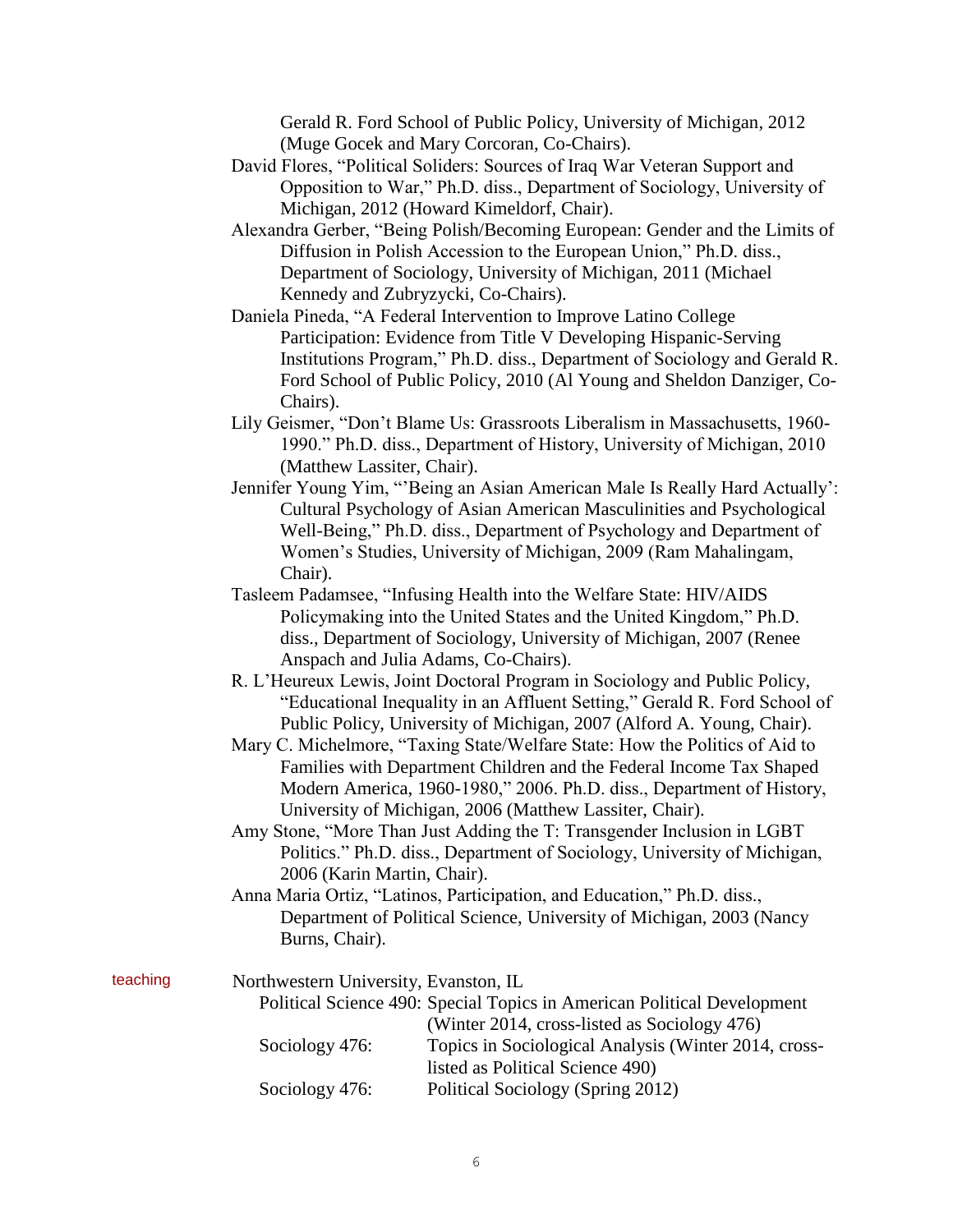Gerald R. Ford School of Public Policy, University of Michigan, 2012 (Muge Gocek and Mary Corcoran, Co-Chairs).

- David Flores, "Political Soliders: Sources of Iraq War Veteran Support and Opposition to War," Ph.D. diss., Department of Sociology, University of Michigan, 2012 (Howard Kimeldorf, Chair).
- Alexandra Gerber, "Being Polish/Becoming European: Gender and the Limits of Diffusion in Polish Accession to the European Union," Ph.D. diss., Department of Sociology, University of Michigan, 2011 (Michael Kennedy and Zubryzycki, Co-Chairs).
- Daniela Pineda, "A Federal Intervention to Improve Latino College Participation: Evidence from Title V Developing Hispanic-Serving Institutions Program," Ph.D. diss., Department of Sociology and Gerald R. Ford School of Public Policy, 2010 (Al Young and Sheldon Danziger, Co-Chairs).
- Lily Geismer, "Don't Blame Us: Grassroots Liberalism in Massachusetts, 1960- 1990." Ph.D. diss., Department of History, University of Michigan, 2010 (Matthew Lassiter, Chair).
- Jennifer Young Yim, "'Being an Asian American Male Is Really Hard Actually': Cultural Psychology of Asian American Masculinities and Psychological Well-Being," Ph.D. diss., Department of Psychology and Department of Women's Studies, University of Michigan, 2009 (Ram Mahalingam, Chair).
- Tasleem Padamsee, "Infusing Health into the Welfare State: HIV/AIDS Policymaking into the United States and the United Kingdom," Ph.D. diss., Department of Sociology, University of Michigan, 2007 (Renee Anspach and Julia Adams, Co-Chairs).
- R. L'Heureux Lewis, Joint Doctoral Program in Sociology and Public Policy, "Educational Inequality in an Affluent Setting," Gerald R. Ford School of Public Policy, University of Michigan, 2007 (Alford A. Young, Chair).
- Mary C. Michelmore, "Taxing State/Welfare State: How the Politics of Aid to Families with Department Children and the Federal Income Tax Shaped Modern America, 1960-1980," 2006. Ph.D. diss., Department of History, University of Michigan, 2006 (Matthew Lassiter, Chair).
- Amy Stone, "More Than Just Adding the T: Transgender Inclusion in LGBT Politics." Ph.D. diss., Department of Sociology, University of Michigan, 2006 (Karin Martin, Chair).
- Anna Maria Ortiz, "Latinos, Participation, and Education," Ph.D. diss., Department of Political Science, University of Michigan, 2003 (Nancy Burns, Chair).

| teaching | Northwestern University, Evanston, IL                                   |                                                      |  |  |
|----------|-------------------------------------------------------------------------|------------------------------------------------------|--|--|
|          | Political Science 490: Special Topics in American Political Development |                                                      |  |  |
|          |                                                                         | (Winter 2014, cross-listed as Sociology 476)         |  |  |
|          | Sociology 476:                                                          | Topics in Sociological Analysis (Winter 2014, cross- |  |  |
|          |                                                                         | listed as Political Science 490)                     |  |  |
|          | Sociology 476:                                                          | Political Sociology (Spring 2012)                    |  |  |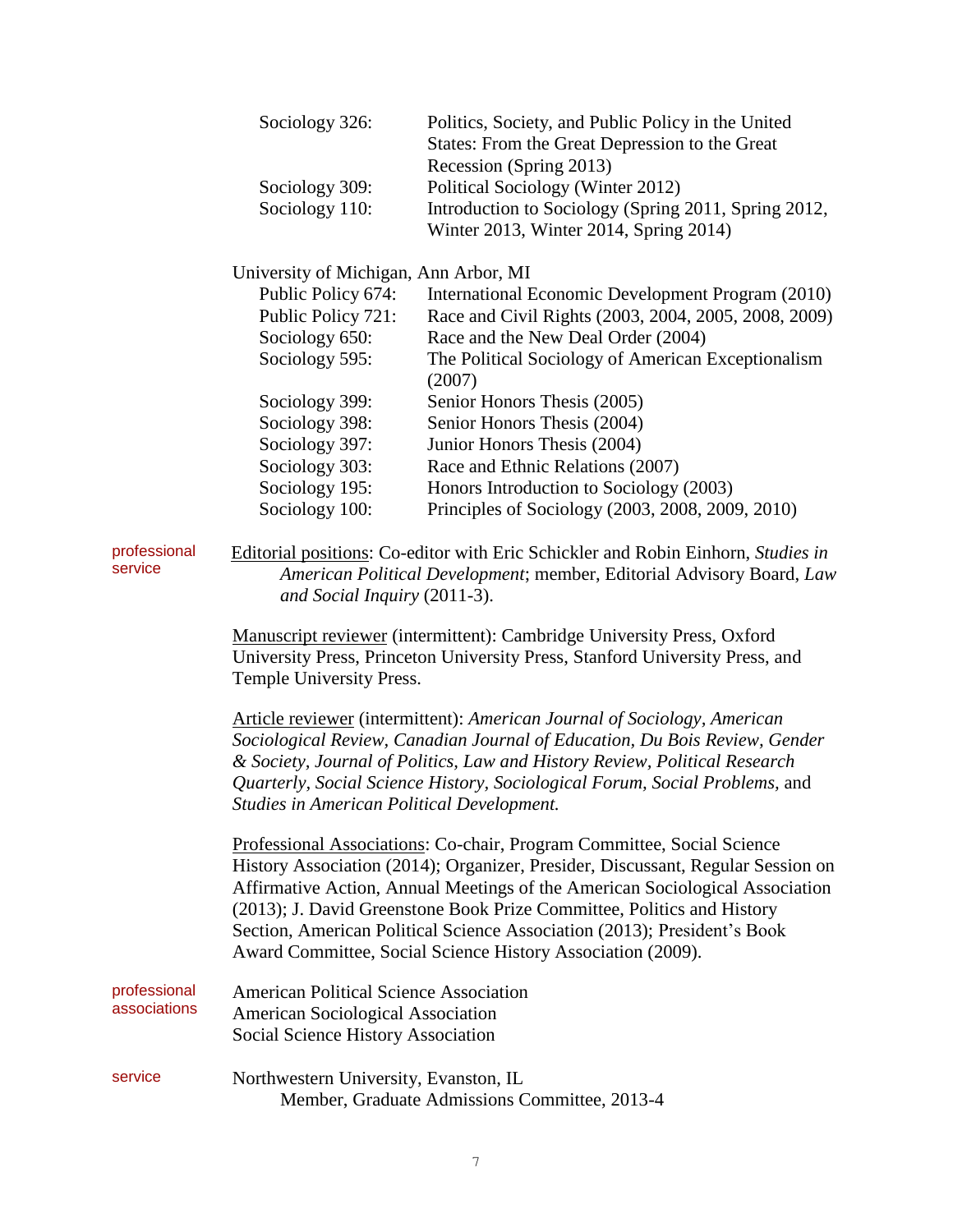|                              | Sociology 326:                                                                                                                                                                                                                                                                                                                                                                                                                                                 | Politics, Society, and Public Policy in the United<br>States: From the Great Depression to the Great<br>Recession (Spring 2013) |  |  |  |  |
|------------------------------|----------------------------------------------------------------------------------------------------------------------------------------------------------------------------------------------------------------------------------------------------------------------------------------------------------------------------------------------------------------------------------------------------------------------------------------------------------------|---------------------------------------------------------------------------------------------------------------------------------|--|--|--|--|
|                              | Sociology 309:                                                                                                                                                                                                                                                                                                                                                                                                                                                 | Political Sociology (Winter 2012)                                                                                               |  |  |  |  |
|                              | Sociology 110:                                                                                                                                                                                                                                                                                                                                                                                                                                                 | Introduction to Sociology (Spring 2011, Spring 2012,<br>Winter 2013, Winter 2014, Spring 2014)                                  |  |  |  |  |
|                              |                                                                                                                                                                                                                                                                                                                                                                                                                                                                | University of Michigan, Ann Arbor, MI                                                                                           |  |  |  |  |
|                              | Public Policy 674:                                                                                                                                                                                                                                                                                                                                                                                                                                             | International Economic Development Program (2010)                                                                               |  |  |  |  |
|                              | Public Policy 721:                                                                                                                                                                                                                                                                                                                                                                                                                                             | Race and Civil Rights (2003, 2004, 2005, 2008, 2009)                                                                            |  |  |  |  |
|                              | Sociology 650:                                                                                                                                                                                                                                                                                                                                                                                                                                                 | Race and the New Deal Order (2004)                                                                                              |  |  |  |  |
|                              | Sociology 595:                                                                                                                                                                                                                                                                                                                                                                                                                                                 | The Political Sociology of American Exceptionalism<br>(2007)                                                                    |  |  |  |  |
|                              | Sociology 399:                                                                                                                                                                                                                                                                                                                                                                                                                                                 | Senior Honors Thesis (2005)                                                                                                     |  |  |  |  |
|                              | Sociology 398:                                                                                                                                                                                                                                                                                                                                                                                                                                                 | Senior Honors Thesis (2004)                                                                                                     |  |  |  |  |
|                              | Sociology 397:                                                                                                                                                                                                                                                                                                                                                                                                                                                 | Junior Honors Thesis (2004)                                                                                                     |  |  |  |  |
|                              | Sociology 303:                                                                                                                                                                                                                                                                                                                                                                                                                                                 | Race and Ethnic Relations (2007)                                                                                                |  |  |  |  |
|                              | Sociology 195:                                                                                                                                                                                                                                                                                                                                                                                                                                                 | Honors Introduction to Sociology (2003)                                                                                         |  |  |  |  |
|                              | Sociology 100:                                                                                                                                                                                                                                                                                                                                                                                                                                                 | Principles of Sociology (2003, 2008, 2009, 2010)                                                                                |  |  |  |  |
| professional<br>service      | Editorial positions: Co-editor with Eric Schickler and Robin Einhorn, Studies in<br>American Political Development; member, Editorial Advisory Board, Law<br>and Social Inquiry (2011-3).                                                                                                                                                                                                                                                                      |                                                                                                                                 |  |  |  |  |
|                              | Manuscript reviewer (intermittent): Cambridge University Press, Oxford<br>University Press, Princeton University Press, Stanford University Press, and<br>Temple University Press.                                                                                                                                                                                                                                                                             |                                                                                                                                 |  |  |  |  |
|                              | Article reviewer (intermittent): American Journal of Sociology, American<br>Sociological Review, Canadian Journal of Education, Du Bois Review, Gender<br>& Society, Journal of Politics, Law and History Review, Political Research<br>Quarterly, Social Science History, Sociological Forum, Social Problems, and<br><b>Studies in American Political Development.</b>                                                                                       |                                                                                                                                 |  |  |  |  |
|                              | Professional Associations: Co-chair, Program Committee, Social Science<br>History Association (2014); Organizer, Presider, Discussant, Regular Session on<br>Affirmative Action, Annual Meetings of the American Sociological Association<br>(2013); J. David Greenstone Book Prize Committee, Politics and History<br>Section, American Political Science Association (2013); President's Book<br>Award Committee, Social Science History Association (2009). |                                                                                                                                 |  |  |  |  |
| professional<br>associations | <b>American Political Science Association</b><br><b>American Sociological Association</b><br>Social Science History Association                                                                                                                                                                                                                                                                                                                                |                                                                                                                                 |  |  |  |  |
| service                      | Northwestern University, Evanston, IL                                                                                                                                                                                                                                                                                                                                                                                                                          | Member, Graduate Admissions Committee, 2013-4                                                                                   |  |  |  |  |